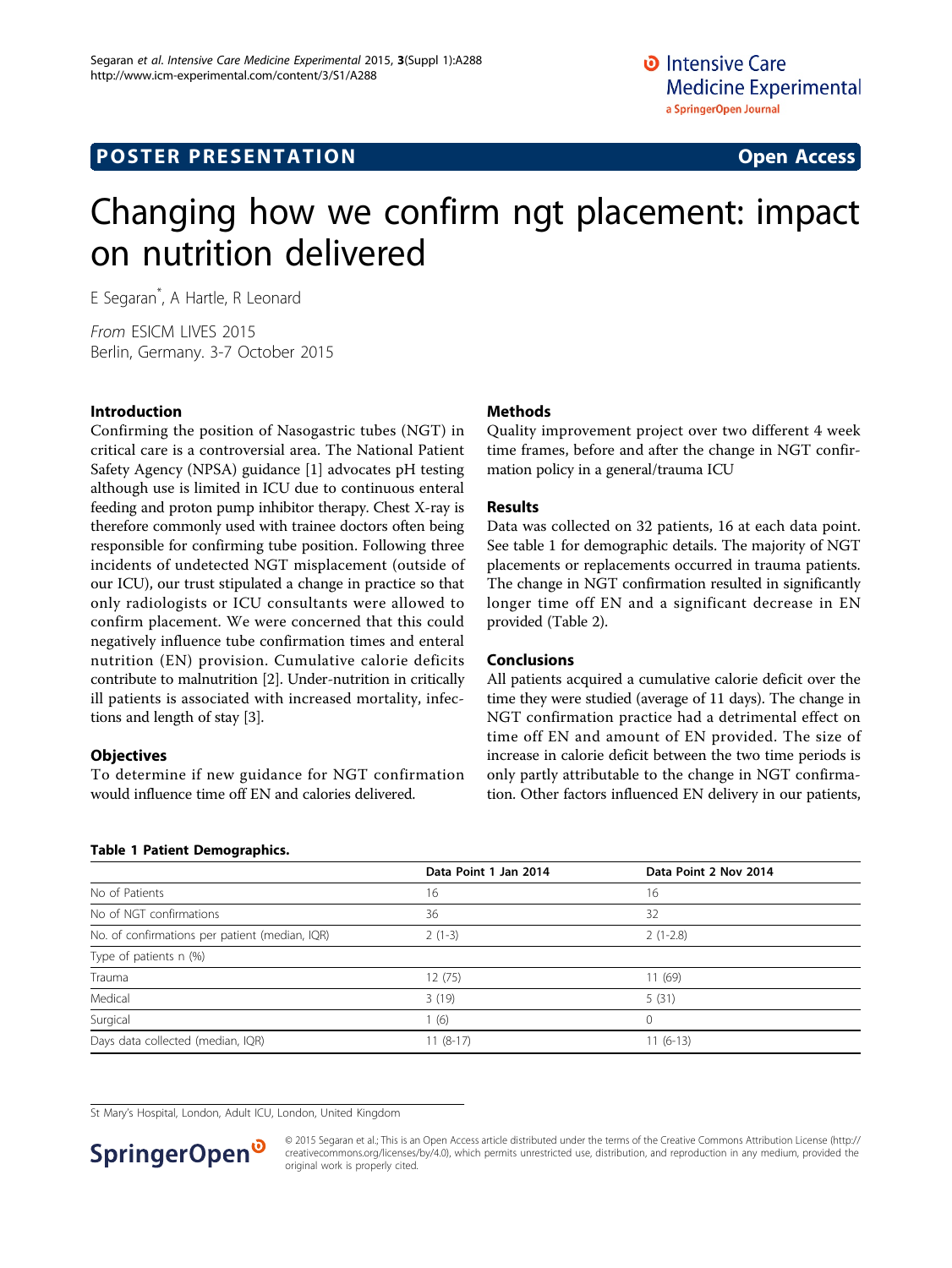## **POSTER PRESENTATION CONSUMING ACCESS**

# Changing how we confirm ngt placement: impact on nutrition delivered

E Segaran\* , A Hartle, R Leonard

From ESICM LIVES 2015 Berlin, Germany. 3-7 October 2015

#### Introduction

Confirming the position of Nasogastric tubes (NGT) in critical care is a controversial area. The National Patient Safety Agency (NPSA) guidance [\[1](#page-1-0)] advocates pH testing although use is limited in ICU due to continuous enteral feeding and proton pump inhibitor therapy. Chest X-ray is therefore commonly used with trainee doctors often being responsible for confirming tube position. Following three incidents of undetected NGT misplacement (outside of our ICU), our trust stipulated a change in practice so that only radiologists or ICU consultants were allowed to confirm placement. We were concerned that this could negatively influence tube confirmation times and enteral nutrition (EN) provision. Cumulative calorie deficits contribute to malnutrition [\[2](#page-1-0)]. Under-nutrition in critically ill patients is associated with increased mortality, infections and length of stay [\[3](#page-1-0)].

#### **Objectives**

To determine if new guidance for NGT confirmation would influence time off EN and calories delivered.

#### Table 1 Patient Demographics.

#### Methods

Quality improvement project over two different 4 week time frames, before and after the change in NGT confirmation policy in a general/trauma ICU

#### Results

Data was collected on 32 patients, 16 at each data point. See table 1 for demographic details. The majority of NGT placements or replacements occurred in trauma patients. The change in NGT confirmation resulted in significantly longer time off EN and a significant decrease in EN provided (Table [2](#page-1-0)).

#### Conclusions

All patients acquired a cumulative calorie deficit over the time they were studied (average of 11 days). The change in NGT confirmation practice had a detrimental effect on time off EN and amount of EN provided. The size of increase in calorie deficit between the two time periods is only partly attributable to the change in NGT confirmation. Other factors influenced EN delivery in our patients,

|                                                | Data Point 1 Jan 2014 | Data Point 2 Nov 2014 |
|------------------------------------------------|-----------------------|-----------------------|
| No of Patients                                 | 16                    | 16                    |
| No of NGT confirmations                        | 36                    | 32                    |
| No. of confirmations per patient (median, IQR) | $2(1-3)$              | $2(1-2.8)$            |
| Type of patients n (%)                         |                       |                       |
| Trauma                                         | 12(75)                | 11(69)                |
| Medical                                        | 3(19)                 | 5(31)                 |
| Surgical                                       | (6)                   | 0                     |
| Days data collected (median, IQR)              | $11(8-17)$            | $11(6-13)$            |

St Mary's Hospital, London, Adult ICU, London, United Kingdom



© 2015 Segaran et al.; This is an Open Access article distributed under the terms of the Creative Commons Attribution License [\(http://](http://creativecommons.org/licenses/by/4.0) [creativecommons.org/licenses/by/4.0](http://creativecommons.org/licenses/by/4.0)), which permits unrestricted use, distribution, and reproduction in any medium, provided the original work is properly cited.